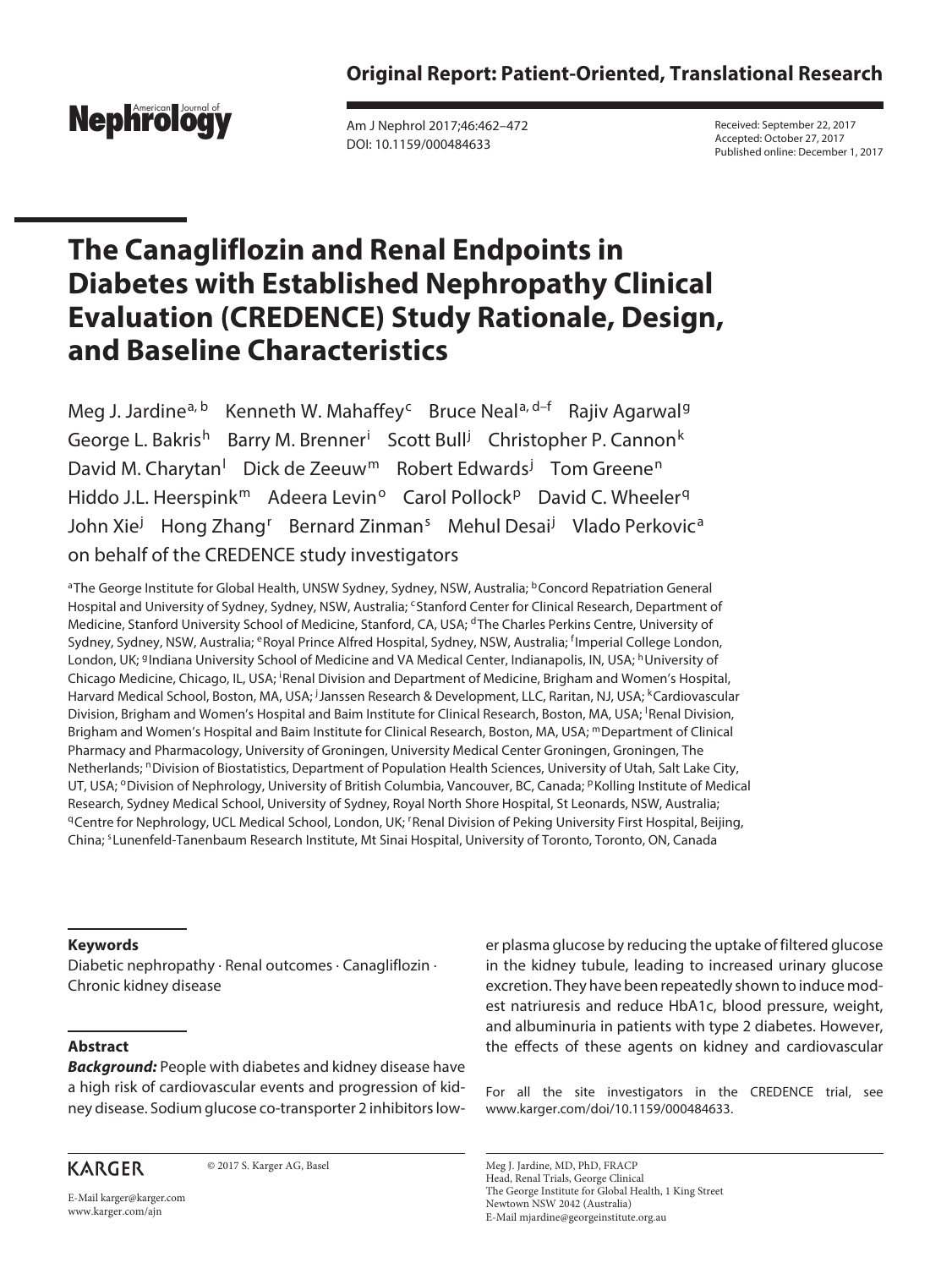

Am J Nephrol 2017;46:462–472 DOI: 10.1159/000484633

Received: September 22, 2017 Accepted: October 27, 2017 Published online: December 1, 2017

# **The Canagliflozin and Renal Endpoints in Diabetes with Established Nephropathy Clinical Evaluation (CREDENCE) Study Rationale, Design, and Baseline Characteristics**

Meg J. Jardine<sup>a, b</sup> Kenneth W. Mahaffey<sup>c</sup> Bruce Neal<sup>a, d–f</sup> Rajiv Agarwal<sup>g</sup> George L. Bakris<sup>h</sup> Barry M. Brenner<sup>i</sup> Scott Bull<sup>j</sup> Christopher P. Cannon<sup>k</sup> David M. Charytan<sup>1</sup> Dick de Zeeuw<sup>m</sup> Robert Edwards<sup>j</sup> Tom Greene<sup>n</sup> Hiddo J.L. Heerspink<sup>m</sup> Adeera Levin<sup>o</sup> Carol Pollock<sup>p</sup> David C. Wheeler<sup>q</sup> John Xie<sup>j</sup> Hong Zhang<sup>r</sup> Bernard Zinman<sup>s</sup> Mehul Desai<sup>j</sup> Vlado Perkovic<sup>a</sup> on behalf of the CREDENCE study investigators

<sup>a</sup>The George Institute for Global Health, UNSW Sydney, Sydney, NSW, Australia; <sup>b</sup>Concord Repatriation General Hospital and University of Sydney, Sydney, NSW, Australia; <sup>c</sup>Stanford Center for Clinical Research, Department of Medicine, Stanford University School of Medicine, Stanford, CA, USA; <sup>d</sup>The Charles Perkins Centre, University of Sydney, Sydney, NSW, Australia; <sup>e</sup>Royal Prince Alfred Hospital, Sydney, NSW, Australia; <sup>f</sup>Imperial College London, London, UK; <sup>g</sup>Indiana University School of Medicine and VA Medical Center, Indianapolis, IN, USA; <sup>h</sup>University of Chicago Medicine, Chicago, IL, USA; <sup>i</sup> Renal Division and Department of Medicine, Brigham and Women's Hospital, Harvard Medical School, Boston, MA, USA; <sup>j</sup>Janssen Research & Development, LLC, Raritan, NJ, USA; <sup>k</sup>Cardiovascular Division, Brigham and Women's Hospital and Baim Institute for Clinical Research, Boston, MA, USA; <sup>I</sup>Renal Division, Brigham and Women's Hospital and Baim Institute for Clinical Research, Boston, MA, USA; <sup>m</sup>Department of Clinical Pharmacy and Pharmacology, University of Groningen, University Medical Center Groningen, Groningen, The Netherlands; <sup>n</sup>Division of Biostatistics, Department of Population Health Sciences, University of Utah, Salt Lake City, UT, USA; <sup>o</sup>Division of Nephrology, University of British Columbia, Vancouver, BC, Canada; <sup>p</sup>Kolling Institute of Medical Research, Sydney Medical School, University of Sydney, Royal North Shore Hospital, St Leonards, NSW, Australia; <sup>q</sup>Centre for Nephrology, UCL Medical School, London, UK; <sup>r</sup>Renal Division of Peking University First Hospital, Beijing, China; <sup>s</sup>Lunenfeld-Tanenbaum Research Institute, Mt Sinai Hospital, University of Toronto, Toronto, ON, Canada

# **Keywords**

Diabetic nephropathy · Renal outcomes · Canagliflozin · Chronic kidney disease

# **Abstract**

*Background:* People with diabetes and kidney disease have a high risk of cardiovascular events and progression of kidney disease. Sodium glucose co-transporter 2 inhibitors low-

**KARGER** 

© 2017 S. Karger AG, Basel

E-Mail karger@karger.com www.karger.com/ajn

er plasma glucose by reducing the uptake of filtered glucose in the kidney tubule, leading to increased urinary glucose excretion. They have been repeatedly shown to induce modest natriuresis and reduce HbA1c, blood pressure, weight, and albuminuria in patients with type 2 diabetes. However, the effects of these agents on kidney and cardiovascular

For all the site investigators in the CREDENCE trial, see www.karger.com/doi/10.1159/000484633.

Meg J. Jardine, MD, PhD, FRACP Head, Renal Trials, George Clinical The George Institute for Global Health, 1 King Street Newtown NSW 2042 (Australia) E-Mail mjardine@georgeinstitute.org.au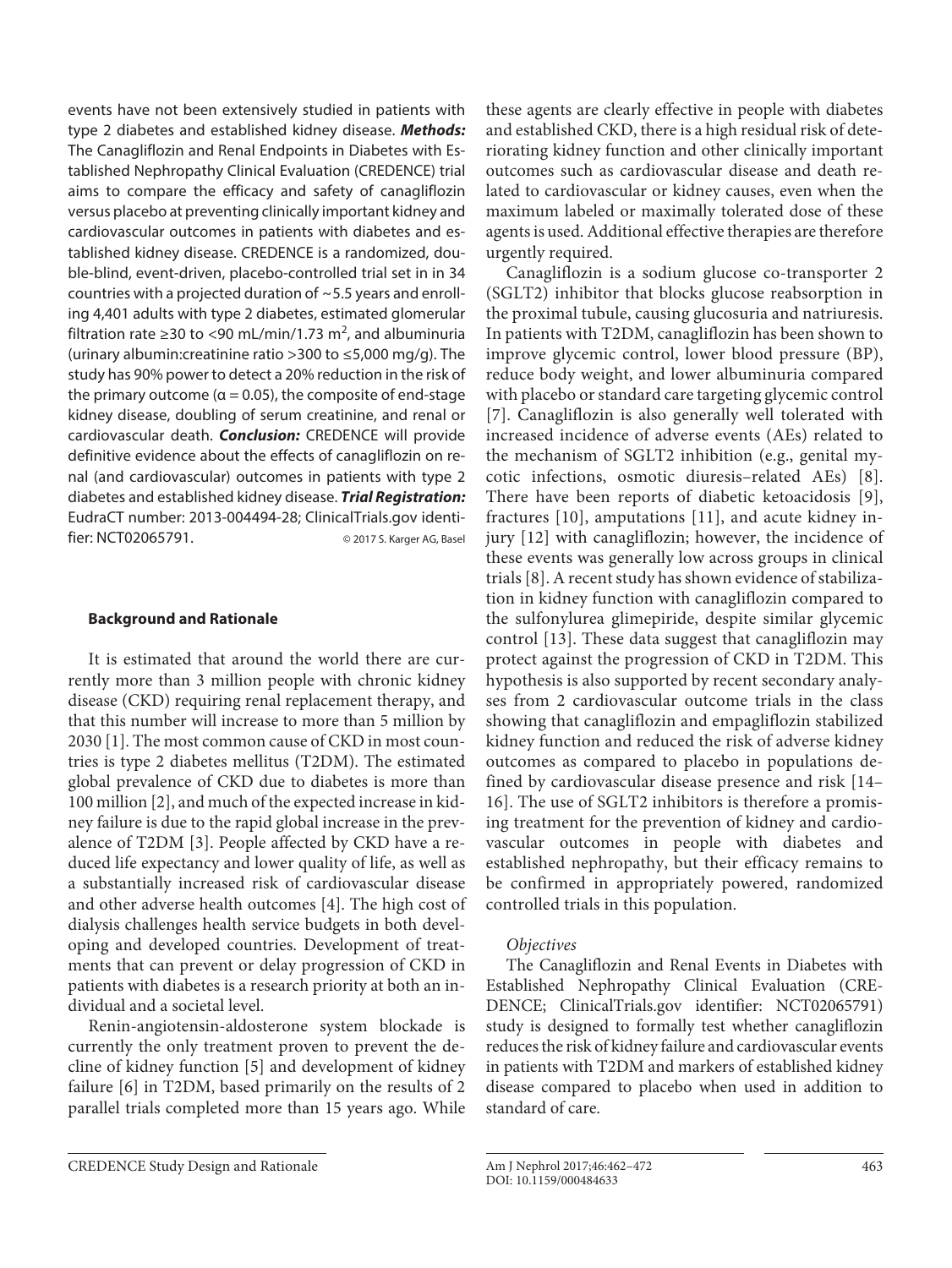events have not been extensively studied in patients with type 2 diabetes and established kidney disease. *Methods:* The Canagliflozin and Renal Endpoints in Diabetes with Established Nephropathy Clinical Evaluation (CREDENCE) trial aims to compare the efficacy and safety of canagliflozin versus placebo at preventing clinically important kidney and cardiovascular outcomes in patients with diabetes and established kidney disease. CREDENCE is a randomized, double-blind, event-driven, placebo-controlled trial set in in 34 countries with a projected duration of ∼5.5 years and enrolling 4,401 adults with type 2 diabetes, estimated glomerular filtration rate ≥30 to <90 mL/min/1.73 m<sup>2</sup>, and albuminuria (urinary albumin:creatinine ratio >300 to ≤5,000 mg/g). The study has 90% power to detect a 20% reduction in the risk of the primary outcome ( $\alpha$  = 0.05), the composite of end-stage kidney disease, doubling of serum creatinine, and renal or cardiovascular death. *Conclusion:* CREDENCE will provide definitive evidence about the effects of canagliflozin on renal (and cardiovascular) outcomes in patients with type 2 diabetes and established kidney disease. *Trial Registration:*  EudraCT number: 2013-004494-28; ClinicalTrials.gov identifier: NCT02065791. © 2017 S. Karger AG, Basel

# **Background and Rationale**

It is estimated that around the world there are currently more than 3 million people with chronic kidney disease (CKD) requiring renal replacement therapy, and that this number will increase to more than 5 million by 2030 [1]. The most common cause of CKD in most countries is type 2 diabetes mellitus (T2DM). The estimated global prevalence of CKD due to diabetes is more than 100 million [2], and much of the expected increase in kidney failure is due to the rapid global increase in the prevalence of T2DM [3]. People affected by CKD have a reduced life expectancy and lower quality of life, as well as a substantially increased risk of cardiovascular disease and other adverse health outcomes [4]. The high cost of dialysis challenges health service budgets in both developing and developed countries. Development of treatments that can prevent or delay progression of CKD in patients with diabetes is a research priority at both an individual and a societal level.

Renin-angiotensin-aldosterone system blockade is currently the only treatment proven to prevent the decline of kidney function [5] and development of kidney failure [6] in T2DM, based primarily on the results of 2 parallel trials completed more than 15 years ago. While

CREDENCE Study Design and Rationale Am J Nephrol 2017;46:462-472 463

these agents are clearly effective in people with diabetes and established CKD, there is a high residual risk of deteriorating kidney function and other clinically important outcomes such as cardiovascular disease and death related to cardiovascular or kidney causes, even when the maximum labeled or maximally tolerated dose of these agents is used. Additional effective therapies are therefore urgently required.

Canagliflozin is a sodium glucose co-transporter 2 (SGLT2) inhibitor that blocks glucose reabsorption in the proximal tubule, causing glucosuria and natriuresis. In patients with T2DM, canagliflozin has been shown to improve glycemic control, lower blood pressure (BP), reduce body weight, and lower albuminuria compared with placebo or standard care targeting glycemic control [7]. Canagliflozin is also generally well tolerated with increased incidence of adverse events (AEs) related to the mechanism of SGLT2 inhibition (e.g., genital mycotic infections, osmotic diuresis–related AEs) [8]. There have been reports of diabetic ketoacidosis [9], fractures [10], amputations [11], and acute kidney injury [12] with canagliflozin; however, the incidence of these events was generally low across groups in clinical trials [8]. A recent study has shown evidence of stabilization in kidney function with canagliflozin compared to the sulfonylurea glimepiride, despite similar glycemic control [13]. These data suggest that canagliflozin may protect against the progression of CKD in T2DM. This hypothesis is also supported by recent secondary analyses from 2 cardiovascular outcome trials in the class showing that canagliflozin and empagliflozin stabilized kidney function and reduced the risk of adverse kidney outcomes as compared to placebo in populations defined by cardiovascular disease presence and risk [14– 16]. The use of SGLT2 inhibitors is therefore a promising treatment for the prevention of kidney and cardiovascular outcomes in people with diabetes and established nephropathy, but their efficacy remains to be confirmed in appropriately powered, randomized controlled trials in this population.

# *Objectives*

The Canagliflozin and Renal Events in Diabetes with Established Nephropathy Clinical Evaluation (CRE-DENCE; ClinicalTrials.gov identifier: NCT02065791) study is designed to formally test whether canagliflozin reduces the risk of kidney failure and cardiovascular events in patients with T2DM and markers of established kidney disease compared to placebo when used in addition to standard of care.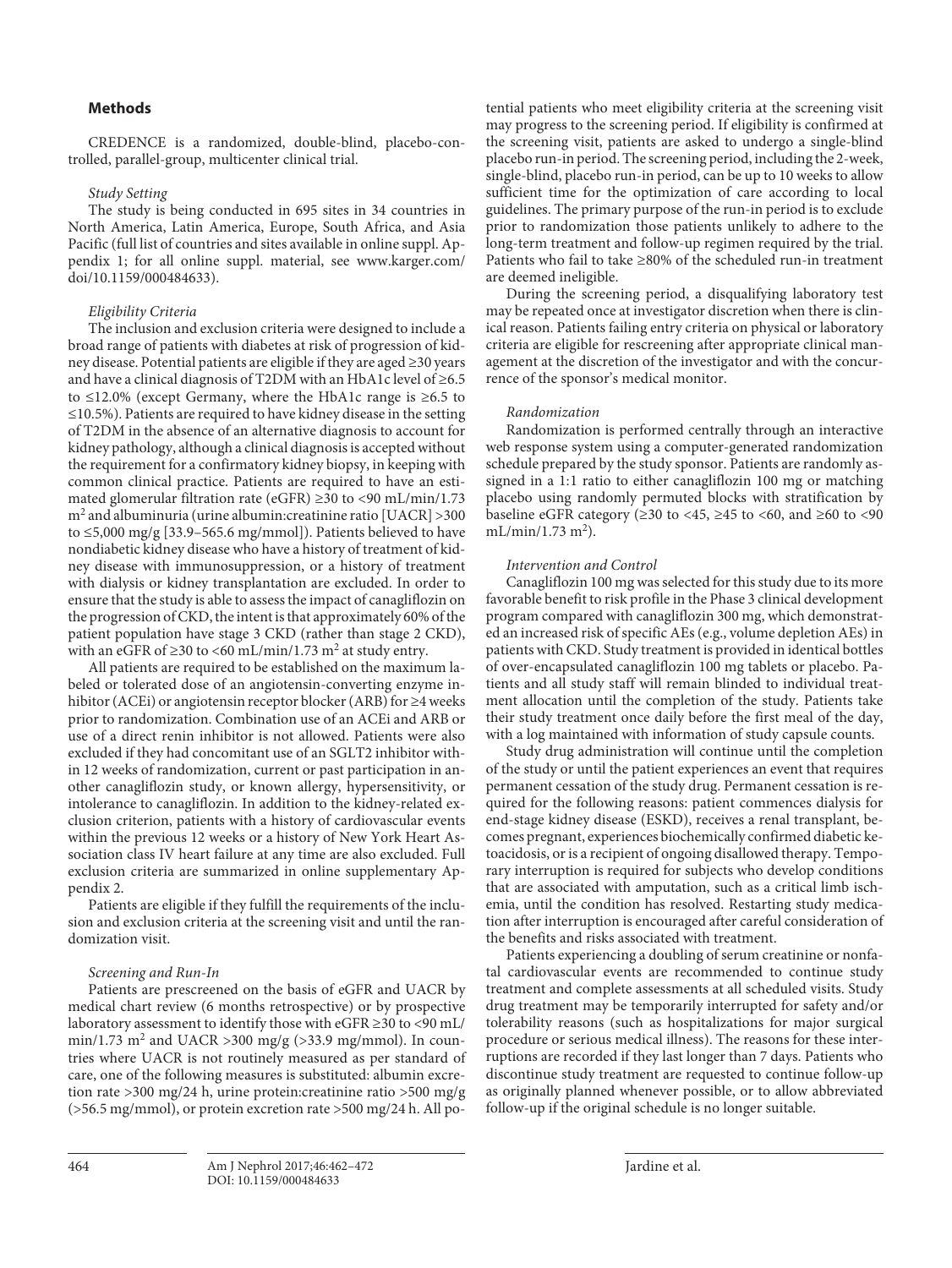# **Methods**

CREDENCE is a randomized, double-blind, placebo-controlled, parallel-group, multicenter clinical trial.

## *Study Setting*

The study is being conducted in 695 sites in 34 countries in North America, Latin America, Europe, South Africa, and Asia Pacific (full list of countries and sites available in online suppl. Appendix 1; for all online suppl. material, see www.karger.com/ doi/10.1159/000484633).

## *Eligibility Criteria*

The inclusion and exclusion criteria were designed to include a broad range of patients with diabetes at risk of progression of kidney disease. Potential patients are eligible if they are aged ≥30 years and have a clinical diagnosis of T2DM with an HbA1c level of  $\geq 6.5$ to ≤12.0% (except Germany, where the HbA1c range is ≥6.5 to ≤10.5%). Patients are required to have kidney disease in the setting of T2DM in the absence of an alternative diagnosis to account for kidney pathology, although a clinical diagnosis is accepted without the requirement for a confirmatory kidney biopsy, in keeping with common clinical practice. Patients are required to have an estimated glomerular filtration rate (eGFR) ≥30 to <90 mL/min/1.73 m2 and albuminuria (urine albumin:creatinine ratio [UACR] >300 to ≤5,000 mg/g [33.9–565.6 mg/mmol]). Patients believed to have nondiabetic kidney disease who have a history of treatment of kidney disease with immunosuppression, or a history of treatment with dialysis or kidney transplantation are excluded. In order to ensure that the study is able to assess the impact of canagliflozin on the progression of CKD, the intent is that approximately 60% of the patient population have stage 3 CKD (rather than stage 2 CKD), with an eGFR of  $\geq$ 30 to <60 mL/min/1.73 m<sup>2</sup> at study entry.

All patients are required to be established on the maximum labeled or tolerated dose of an angiotensin-converting enzyme inhibitor (ACEi) or angiotensin receptor blocker (ARB) for ≥4 weeks prior to randomization. Combination use of an ACEi and ARB or use of a direct renin inhibitor is not allowed. Patients were also excluded if they had concomitant use of an SGLT2 inhibitor within 12 weeks of randomization, current or past participation in another canagliflozin study, or known allergy, hypersensitivity, or intolerance to canagliflozin. In addition to the kidney-related exclusion criterion, patients with a history of cardiovascular events within the previous 12 weeks or a history of New York Heart Association class IV heart failure at any time are also excluded. Full exclusion criteria are summarized in online supplementary Appendix 2.

Patients are eligible if they fulfill the requirements of the inclusion and exclusion criteria at the screening visit and until the randomization visit.

#### *Screening and Run-In*

Patients are prescreened on the basis of eGFR and UACR by medical chart review (6 months retrospective) or by prospective laboratory assessment to identify those with eGFR ≥30 to <90 mL/  $min/1.73$   $m^2$  and UACR >300 mg/g (>33.9 mg/mmol). In countries where UACR is not routinely measured as per standard of care, one of the following measures is substituted: albumin excretion rate >300 mg/24 h, urine protein:creatinine ratio >500 mg/g (>56.5 mg/mmol), or protein excretion rate >500 mg/24 h. All potential patients who meet eligibility criteria at the screening visit may progress to the screening period. If eligibility is confirmed at the screening visit, patients are asked to undergo a single-blind placebo run-in period. The screening period, including the 2-week, single-blind, placebo run-in period, can be up to 10 weeks to allow sufficient time for the optimization of care according to local guidelines. The primary purpose of the run-in period is to exclude prior to randomization those patients unlikely to adhere to the long-term treatment and follow-up regimen required by the trial. Patients who fail to take ≥80% of the scheduled run-in treatment are deemed ineligible.

During the screening period, a disqualifying laboratory test may be repeated once at investigator discretion when there is clinical reason. Patients failing entry criteria on physical or laboratory criteria are eligible for rescreening after appropriate clinical management at the discretion of the investigator and with the concurrence of the sponsor's medical monitor.

#### *Randomization*

Randomization is performed centrally through an interactive web response system using a computer-generated randomization schedule prepared by the study sponsor. Patients are randomly assigned in a 1:1 ratio to either canagliflozin 100 mg or matching placebo using randomly permuted blocks with stratification by baseline eGFR category ( $\geq$ 30 to <45,  $\geq$ 45 to <60, and  $\geq$ 60 to <90  $mL/min/1.73 m<sup>2</sup>$ ).

#### *Intervention and Control*

Canagliflozin 100 mg was selected for this study due to its more favorable benefit to risk profile in the Phase 3 clinical development program compared with canagliflozin 300 mg, which demonstrated an increased risk of specific AEs (e.g., volume depletion AEs) in patients with CKD. Study treatment is provided in identical bottles of over-encapsulated canagliflozin 100 mg tablets or placebo. Patients and all study staff will remain blinded to individual treatment allocation until the completion of the study. Patients take their study treatment once daily before the first meal of the day, with a log maintained with information of study capsule counts.

Study drug administration will continue until the completion of the study or until the patient experiences an event that requires permanent cessation of the study drug. Permanent cessation is required for the following reasons: patient commences dialysis for end-stage kidney disease (ESKD), receives a renal transplant, becomes pregnant, experiences biochemically confirmed diabetic ketoacidosis, or is a recipient of ongoing disallowed therapy. Temporary interruption is required for subjects who develop conditions that are associated with amputation, such as a critical limb ischemia, until the condition has resolved. Restarting study medication after interruption is encouraged after careful consideration of the benefits and risks associated with treatment.

Patients experiencing a doubling of serum creatinine or nonfatal cardiovascular events are recommended to continue study treatment and complete assessments at all scheduled visits. Study drug treatment may be temporarily interrupted for safety and/or tolerability reasons (such as hospitalizations for major surgical procedure or serious medical illness). The reasons for these interruptions are recorded if they last longer than 7 days. Patients who discontinue study treatment are requested to continue follow-up as originally planned whenever possible, or to allow abbreviated follow-up if the original schedule is no longer suitable.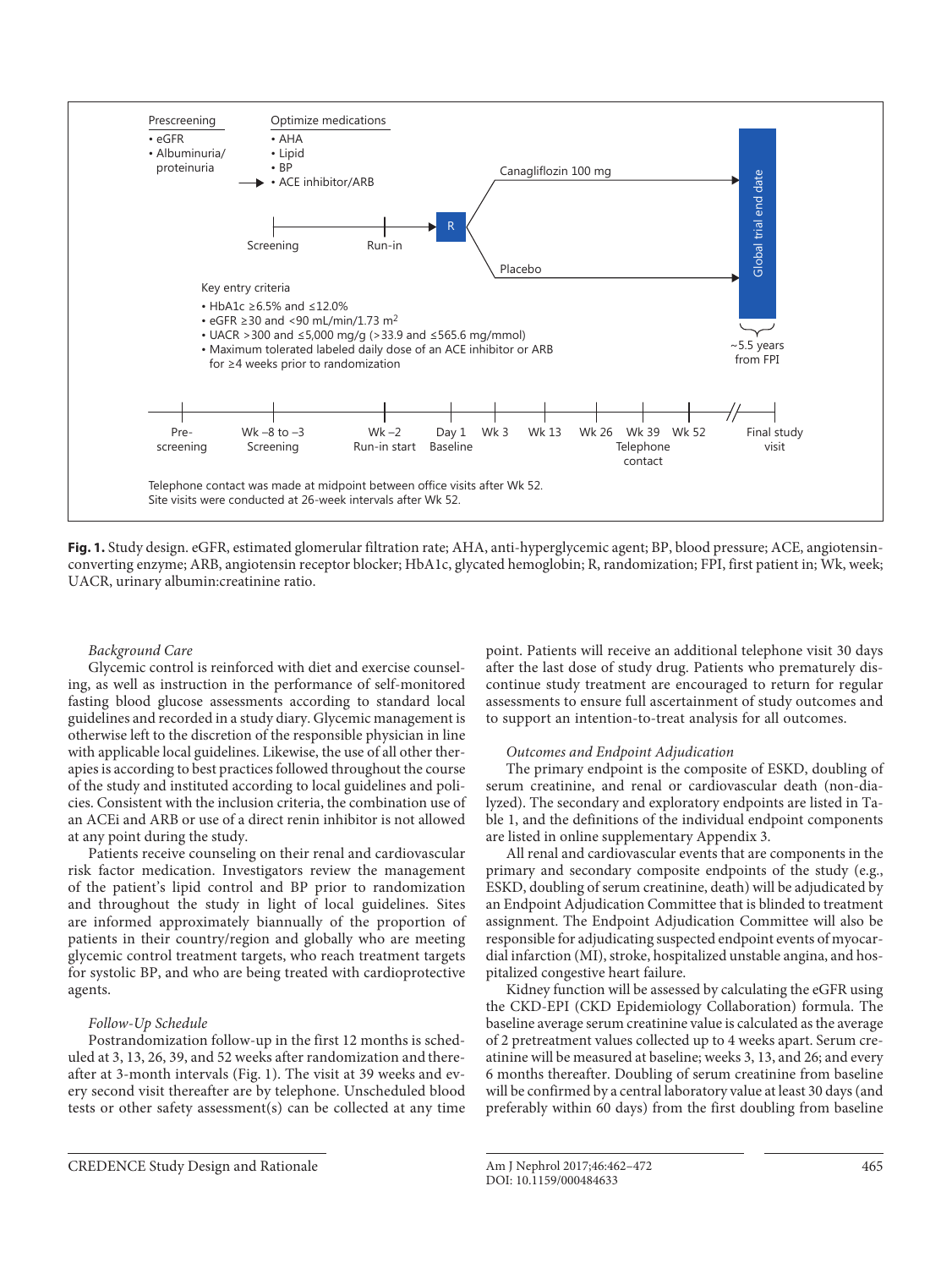

**Fig. 1.** Study design. eGFR, estimated glomerular filtration rate; AHA, anti-hyperglycemic agent; BP, blood pressure; ACE, angiotensinconverting enzyme; ARB, angiotensin receptor blocker; HbA1c, glycated hemoglobin; R, randomization; FPI, first patient in; Wk, week; UACR, urinary albumin:creatinine ratio.

#### *Background Care*

Glycemic control is reinforced with diet and exercise counseling, as well as instruction in the performance of self-monitored fasting blood glucose assessments according to standard local guidelines and recorded in a study diary. Glycemic management is otherwise left to the discretion of the responsible physician in line with applicable local guidelines. Likewise, the use of all other therapies is according to best practices followed throughout the course of the study and instituted according to local guidelines and policies. Consistent with the inclusion criteria, the combination use of an ACEi and ARB or use of a direct renin inhibitor is not allowed at any point during the study.

Patients receive counseling on their renal and cardiovascular risk factor medication. Investigators review the management of the patient's lipid control and BP prior to randomization and throughout the study in light of local guidelines. Sites are informed approximately biannually of the proportion of patients in their country/region and globally who are meeting glycemic control treatment targets, who reach treatment targets for systolic BP, and who are being treated with cardioprotective agents.

## *Follow-Up Schedule*

Postrandomization follow-up in the first 12 months is scheduled at 3, 13, 26, 39, and 52 weeks after randomization and thereafter at 3-month intervals (Fig. 1). The visit at 39 weeks and every second visit thereafter are by telephone. Unscheduled blood tests or other safety assessment(s) can be collected at any time

point. Patients will receive an additional telephone visit 30 days after the last dose of study drug. Patients who prematurely discontinue study treatment are encouraged to return for regular assessments to ensure full ascertainment of study outcomes and to support an intention-to-treat analysis for all outcomes.

#### *Outcomes and Endpoint Adjudication*

The primary endpoint is the composite of ESKD, doubling of serum creatinine, and renal or cardiovascular death (non-dialyzed). The secondary and exploratory endpoints are listed in Table 1, and the definitions of the individual endpoint components are listed in online supplementary Appendix 3.

All renal and cardiovascular events that are components in the primary and secondary composite endpoints of the study (e.g., ESKD, doubling of serum creatinine, death) will be adjudicated by an Endpoint Adjudication Committee that is blinded to treatment assignment. The Endpoint Adjudication Committee will also be responsible for adjudicating suspected endpoint events of myocardial infarction (MI), stroke, hospitalized unstable angina, and hospitalized congestive heart failure.

Kidney function will be assessed by calculating the eGFR using the CKD-EPI (CKD Epidemiology Collaboration) formula. The baseline average serum creatinine value is calculated as the average of 2 pretreatment values collected up to 4 weeks apart. Serum creatinine will be measured at baseline; weeks 3, 13, and 26; and every 6 months thereafter. Doubling of serum creatinine from baseline will be confirmed by a central laboratory value at least 30 days (and preferably within 60 days) from the first doubling from baseline

CREDENCE Study Design and Rationale Am J Nephrol 2017;46:462-472 465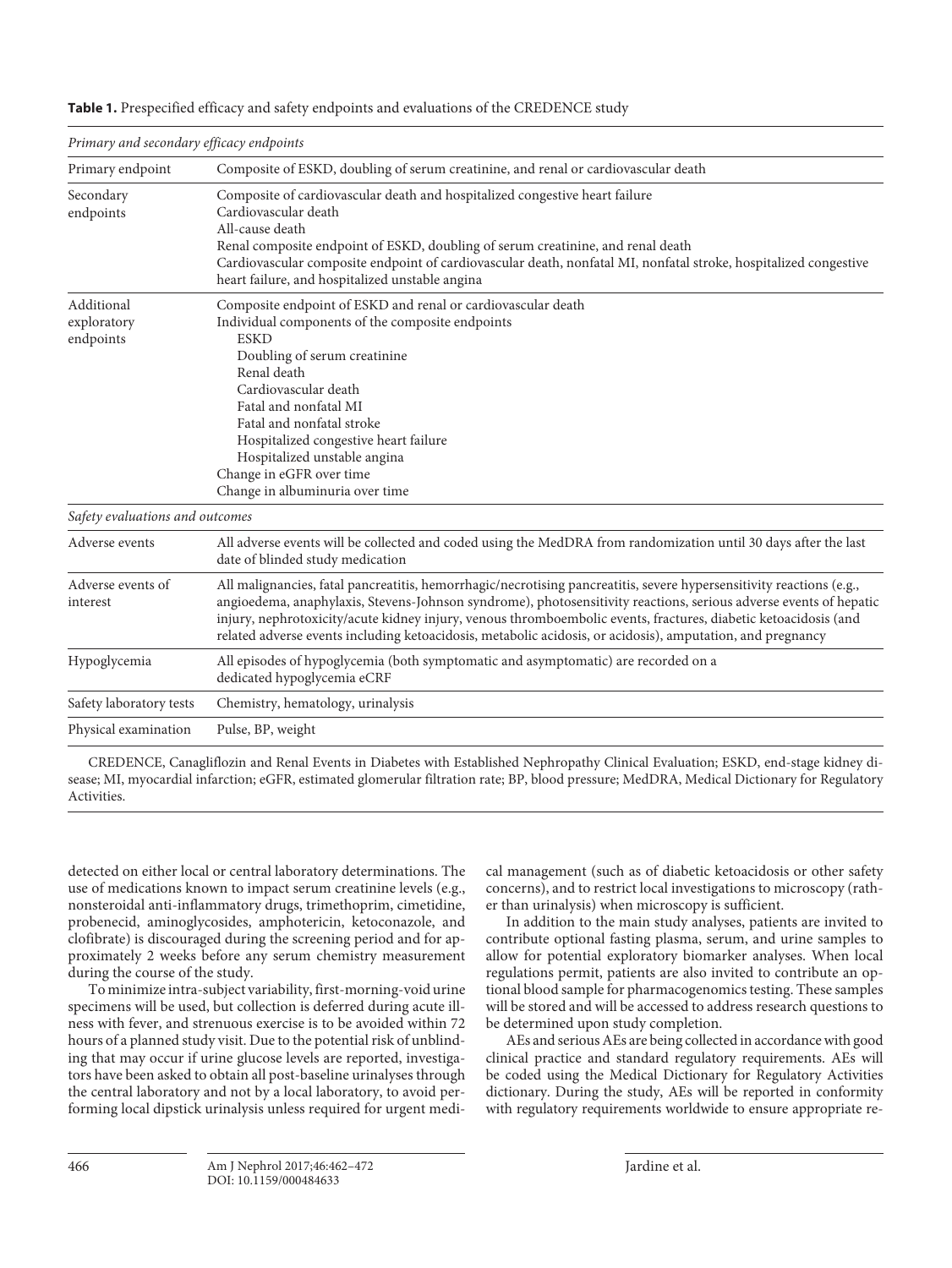| Primary endpoint                       | Composite of ESKD, doubling of serum creatinine, and renal or cardiovascular death                                                                                                                                                                                                                                                                                                                                                                                         |  |  |
|----------------------------------------|----------------------------------------------------------------------------------------------------------------------------------------------------------------------------------------------------------------------------------------------------------------------------------------------------------------------------------------------------------------------------------------------------------------------------------------------------------------------------|--|--|
| Secondary<br>endpoints                 | Composite of cardiovascular death and hospitalized congestive heart failure<br>Cardiovascular death<br>All-cause death<br>Renal composite endpoint of ESKD, doubling of serum creatinine, and renal death<br>Cardiovascular composite endpoint of cardiovascular death, nonfatal MI, nonfatal stroke, hospitalized congestive<br>heart failure, and hospitalized unstable angina                                                                                           |  |  |
| Additional<br>exploratory<br>endpoints | Composite endpoint of ESKD and renal or cardiovascular death<br>Individual components of the composite endpoints<br><b>ESKD</b><br>Doubling of serum creatinine<br>Renal death<br>Cardiovascular death<br>Fatal and nonfatal MI<br>Fatal and nonfatal stroke<br>Hospitalized congestive heart failure<br>Hospitalized unstable angina<br>Change in eGFR over time<br>Change in albuminuria over time                                                                       |  |  |
| Safety evaluations and outcomes        |                                                                                                                                                                                                                                                                                                                                                                                                                                                                            |  |  |
| Adverse events                         | All adverse events will be collected and coded using the MedDRA from randomization until 30 days after the last<br>date of blinded study medication                                                                                                                                                                                                                                                                                                                        |  |  |
| Adverse events of<br>interest          | All malignancies, fatal pancreatitis, hemorrhagic/necrotising pancreatitis, severe hypersensitivity reactions (e.g.,<br>angioedema, anaphylaxis, Stevens-Johnson syndrome), photosensitivity reactions, serious adverse events of hepatic<br>injury, nephrotoxicity/acute kidney injury, venous thromboembolic events, fractures, diabetic ketoacidosis (and<br>related adverse events including ketoacidosis, metabolic acidosis, or acidosis), amputation, and pregnancy |  |  |
| Hypoglycemia                           | All episodes of hypoglycemia (both symptomatic and asymptomatic) are recorded on a<br>dedicated hypoglycemia eCRF                                                                                                                                                                                                                                                                                                                                                          |  |  |
| Safety laboratory tests                | Chemistry, hematology, urinalysis                                                                                                                                                                                                                                                                                                                                                                                                                                          |  |  |
| Physical examination                   | Pulse, BP, weight                                                                                                                                                                                                                                                                                                                                                                                                                                                          |  |  |

**Table 1.** Prespecified efficacy and safety endpoints and evaluations of the CREDENCE study

CREDENCE, Canagliflozin and Renal Events in Diabetes with Established Nephropathy Clinical Evaluation; ESKD, end-stage kidney disease; MI, myocardial infarction; eGFR, estimated glomerular filtration rate; BP, blood pressure; MedDRA, Medical Dictionary for Regulatory Activities.

detected on either local or central laboratory determinations. The use of medications known to impact serum creatinine levels (e.g., nonsteroidal anti-inflammatory drugs, trimethoprim, cimetidine, probenecid, aminoglycosides, amphotericin, ketoconazole, and clofibrate) is discouraged during the screening period and for approximately 2 weeks before any serum chemistry measurement during the course of the study.

To minimize intra-subject variability, first-morning-void urine specimens will be used, but collection is deferred during acute illness with fever, and strenuous exercise is to be avoided within 72 hours of a planned study visit. Due to the potential risk of unblinding that may occur if urine glucose levels are reported, investigators have been asked to obtain all post-baseline urinalyses through the central laboratory and not by a local laboratory, to avoid performing local dipstick urinalysis unless required for urgent medical management (such as of diabetic ketoacidosis or other safety concerns), and to restrict local investigations to microscopy (rather than urinalysis) when microscopy is sufficient.

In addition to the main study analyses, patients are invited to contribute optional fasting plasma, serum, and urine samples to allow for potential exploratory biomarker analyses. When local regulations permit, patients are also invited to contribute an optional blood sample for pharmacogenomics testing. These samples will be stored and will be accessed to address research questions to be determined upon study completion.

AEs and serious AEs are being collected in accordance with good clinical practice and standard regulatory requirements. AEs will be coded using the Medical Dictionary for Regulatory Activities dictionary. During the study, AEs will be reported in conformity with regulatory requirements worldwide to ensure appropriate re-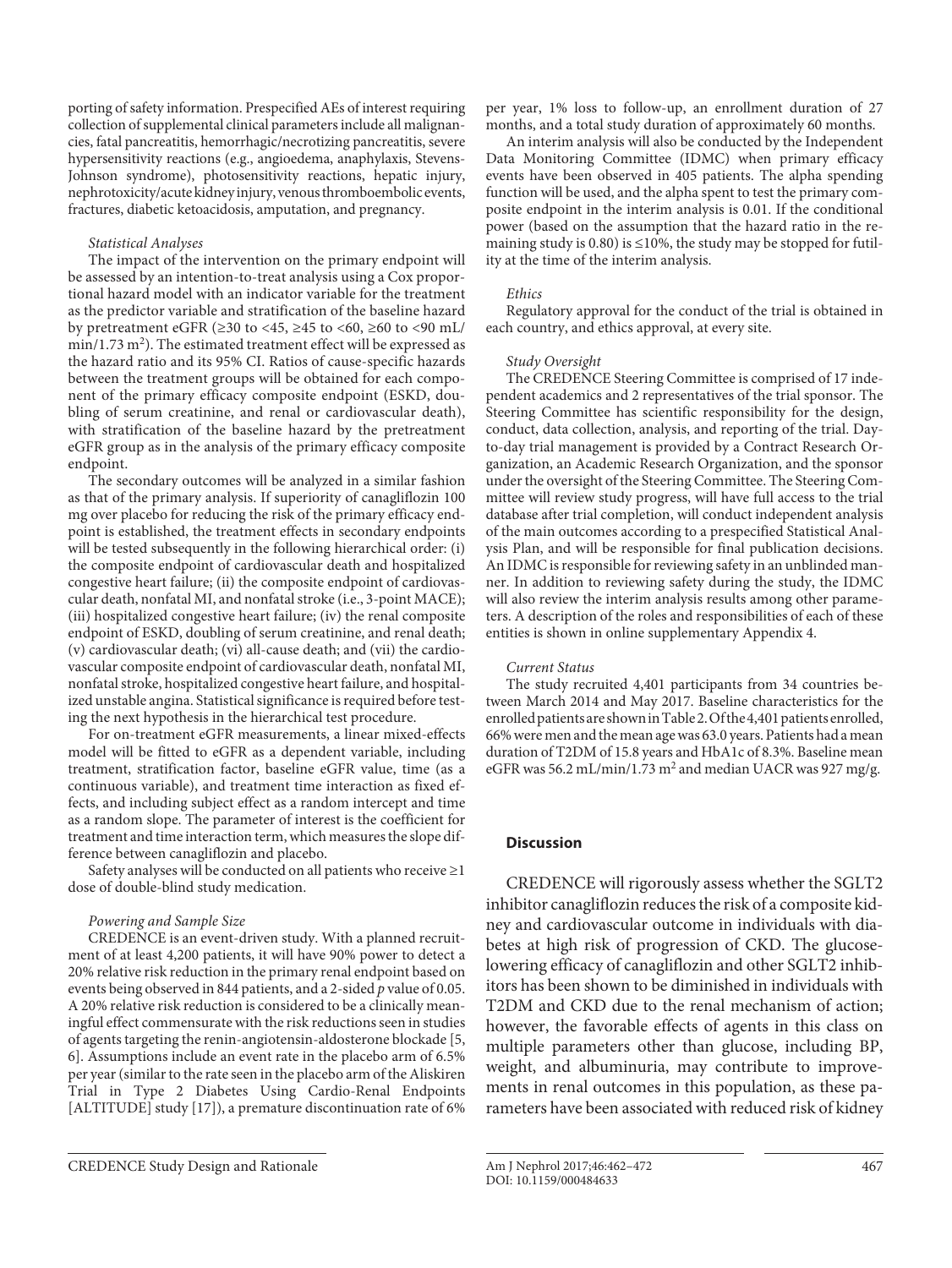porting of safety information. Prespecified AEs of interest requiring collection of supplemental clinical parameters include all malignancies, fatal pancreatitis, hemorrhagic/necrotizing pancreatitis, severe hypersensitivity reactions (e.g., angioedema, anaphylaxis, Stevens-Johnson syndrome), photosensitivity reactions, hepatic injury, nephrotoxicity/acute kidney injury, venous thromboembolic events, fractures, diabetic ketoacidosis, amputation, and pregnancy.

#### *Statistical Analyses*

The impact of the intervention on the primary endpoint will be assessed by an intention-to-treat analysis using a Cox proportional hazard model with an indicator variable for the treatment as the predictor variable and stratification of the baseline hazard by pretreatment eGFR ( $\geq$ 30 to <45,  $\geq$ 45 to <60,  $\geq$ 60 to <90 mL/ min/1.73  $m<sup>2</sup>$ ). The estimated treatment effect will be expressed as the hazard ratio and its 95% CI. Ratios of cause-specific hazards between the treatment groups will be obtained for each component of the primary efficacy composite endpoint (ESKD, doubling of serum creatinine, and renal or cardiovascular death), with stratification of the baseline hazard by the pretreatment eGFR group as in the analysis of the primary efficacy composite endpoint.

The secondary outcomes will be analyzed in a similar fashion as that of the primary analysis. If superiority of canagliflozin 100 mg over placebo for reducing the risk of the primary efficacy endpoint is established, the treatment effects in secondary endpoints will be tested subsequently in the following hierarchical order: (i) the composite endpoint of cardiovascular death and hospitalized congestive heart failure; (ii) the composite endpoint of cardiovascular death, nonfatal MI, and nonfatal stroke (i.e., 3-point MACE); (iii) hospitalized congestive heart failure; (iv) the renal composite endpoint of ESKD, doubling of serum creatinine, and renal death; (v) cardiovascular death; (vi) all-cause death; and (vii) the cardiovascular composite endpoint of cardiovascular death, nonfatal MI, nonfatal stroke, hospitalized congestive heart failure, and hospitalized unstable angina. Statistical significance is required before testing the next hypothesis in the hierarchical test procedure.

For on-treatment eGFR measurements, a linear mixed-effects model will be fitted to eGFR as a dependent variable, including treatment, stratification factor, baseline eGFR value, time (as a continuous variable), and treatment time interaction as fixed effects, and including subject effect as a random intercept and time as a random slope. The parameter of interest is the coefficient for treatment and time interaction term, which measures the slope difference between canagliflozin and placebo.

Safety analyses will be conducted on all patients who receive  $\geq$  1 dose of double-blind study medication.

#### *Powering and Sample Size*

CREDENCE is an event-driven study. With a planned recruitment of at least 4,200 patients, it will have 90% power to detect a 20% relative risk reduction in the primary renal endpoint based on events being observed in 844 patients, and a 2-sided *p* value of 0.05. A 20% relative risk reduction is considered to be a clinically meaningful effect commensurate with the risk reductions seen in studies of agents targeting the renin-angiotensin-aldosterone blockade [5, 6]. Assumptions include an event rate in the placebo arm of 6.5% per year (similar to the rate seen in the placebo arm of the Aliskiren Trial in Type 2 Diabetes Using Cardio-Renal Endpoints [ALTITUDE] study [17]), a premature discontinuation rate of 6%

CREDENCE Study Design and Rationale Am J Nephrol 2017;46:462-472 467

per year, 1% loss to follow-up, an enrollment duration of 27 months, and a total study duration of approximately 60 months.

An interim analysis will also be conducted by the Independent Data Monitoring Committee (IDMC) when primary efficacy events have been observed in 405 patients. The alpha spending function will be used, and the alpha spent to test the primary composite endpoint in the interim analysis is 0.01. If the conditional power (based on the assumption that the hazard ratio in the remaining study is 0.80) is  $\leq$ 10%, the study may be stopped for futility at the time of the interim analysis.

## *Ethics*

Regulatory approval for the conduct of the trial is obtained in each country, and ethics approval, at every site.

#### *Study Oversight*

The CREDENCE Steering Committee is comprised of 17 independent academics and 2 representatives of the trial sponsor. The Steering Committee has scientific responsibility for the design, conduct, data collection, analysis, and reporting of the trial. Dayto-day trial management is provided by a Contract Research Organization, an Academic Research Organization, and the sponsor under the oversight of the Steering Committee. The Steering Committee will review study progress, will have full access to the trial database after trial completion, will conduct independent analysis of the main outcomes according to a prespecified Statistical Analysis Plan, and will be responsible for final publication decisions. An IDMC is responsible for reviewing safety in an unblinded manner. In addition to reviewing safety during the study, the IDMC will also review the interim analysis results among other parameters. A description of the roles and responsibilities of each of these entities is shown in online supplementary Appendix 4.

#### *Current Status*

The study recruited 4,401 participants from 34 countries between March 2014 and May 2017. Baseline characteristics for the enrolled patients are shown in Table 2. Of the 4,401 patients enrolled, 66% were men and the mean age was 63.0 years. Patients had a mean duration of T2DM of 15.8 years and HbA1c of 8.3%. Baseline mean eGFR was 56.2 mL/min/1.73 m<sup>2</sup> and median UACR was 927 mg/g.

## **Discussion**

CREDENCE will rigorously assess whether the SGLT2 inhibitor canagliflozin reduces the risk of a composite kidney and cardiovascular outcome in individuals with diabetes at high risk of progression of CKD. The glucoselowering efficacy of canagliflozin and other SGLT2 inhibitors has been shown to be diminished in individuals with T2DM and CKD due to the renal mechanism of action; however, the favorable effects of agents in this class on multiple parameters other than glucose, including BP, weight, and albuminuria, may contribute to improvements in renal outcomes in this population, as these parameters have been associated with reduced risk of kidney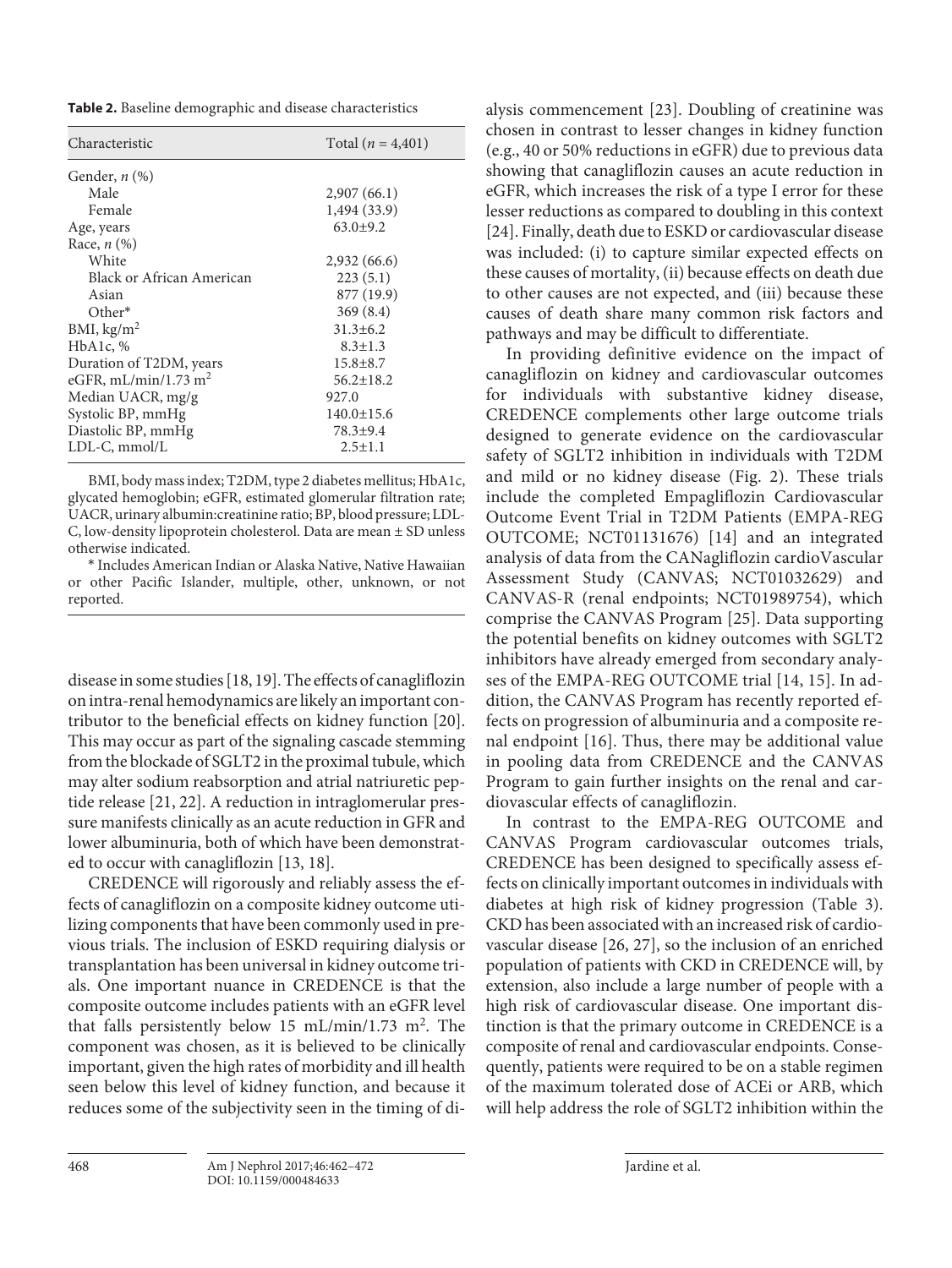**Table 2.** Baseline demographic and disease characteristics

| Characteristic                   | Total $(n = 4, 401)$ |  |
|----------------------------------|----------------------|--|
| Gender, <i>n</i> (%)             |                      |  |
| Male                             | 2,907(66.1)          |  |
| Female                           | 1,494 (33.9)         |  |
| Age, years                       | $63.0 \pm 9.2$       |  |
| Race, $n$ $(\%)$                 |                      |  |
| White                            | 2,932(66.6)          |  |
| Black or African American        | 223(5.1)             |  |
| Asian                            | 877 (19.9)           |  |
| $Other*$                         | 369(8.4)             |  |
| BMI, $\text{kg/m}^2$             | $31.3 \pm 6.2$       |  |
| HbA1c, %                         | $8.3 \pm 1.3$        |  |
| Duration of T2DM, years          | $15.8 \pm 8.7$       |  |
| eGFR, mL/min/1.73 m <sup>2</sup> | $56.2 \pm 18.2$      |  |
| Median UACR, mg/g                | 927.0                |  |
| Systolic BP, mmHg                | $140.0 \pm 15.6$     |  |
| Diastolic BP, mmHg               | 78.3±9.4             |  |
| $LDL-C, mmol/L$                  | $2.5 \pm 1.1$        |  |

BMI, body mass index; T2DM, type 2 diabetes mellitus; HbA1c, glycated hemoglobin; eGFR, estimated glomerular filtration rate; UACR, urinary albumin:creatinine ratio; BP, blood pressure; LDL-C, low-density lipoprotein cholesterol. Data are mean ± SD unless otherwise indicated.

\* Includes American Indian or Alaska Native, Native Hawaiian or other Pacific Islander, multiple, other, unknown, or not reported.

disease in some studies [18, 19]. The effects of canagliflozin on intra-renal hemodynamics are likely an important contributor to the beneficial effects on kidney function [20]. This may occur as part of the signaling cascade stemming from the blockade of SGLT2 in the proximal tubule, which may alter sodium reabsorption and atrial natriuretic peptide release [21, 22]. A reduction in intraglomerular pressure manifests clinically as an acute reduction in GFR and lower albuminuria, both of which have been demonstrated to occur with canagliflozin [13, 18].

CREDENCE will rigorously and reliably assess the effects of canagliflozin on a composite kidney outcome utilizing components that have been commonly used in previous trials. The inclusion of ESKD requiring dialysis or transplantation has been universal in kidney outcome trials. One important nuance in CREDENCE is that the composite outcome includes patients with an eGFR level that falls persistently below 15  $mL/min/1.73 m<sup>2</sup>$ . The component was chosen, as it is believed to be clinically important, given the high rates of morbidity and ill health seen below this level of kidney function, and because it reduces some of the subjectivity seen in the timing of dialysis commencement [23]. Doubling of creatinine was chosen in contrast to lesser changes in kidney function (e.g., 40 or 50% reductions in eGFR) due to previous data showing that canagliflozin causes an acute reduction in eGFR, which increases the risk of a type I error for these lesser reductions as compared to doubling in this context [24]. Finally, death due to ESKD or cardiovascular disease was included: (i) to capture similar expected effects on these causes of mortality, (ii) because effects on death due to other causes are not expected, and (iii) because these causes of death share many common risk factors and pathways and may be difficult to differentiate.

In providing definitive evidence on the impact of canagliflozin on kidney and cardiovascular outcomes for individuals with substantive kidney disease, CREDENCE complements other large outcome trials designed to generate evidence on the cardiovascular safety of SGLT2 inhibition in individuals with T2DM and mild or no kidney disease (Fig. 2). These trials include the completed Empagliflozin Cardiovascular Outcome Event Trial in T2DM Patients (EMPA-REG OUTCOME; NCT01131676) [14] and an integrated analysis of data from the CANagliflozin cardioVascular Assessment Study (CANVAS; NCT01032629) and CANVAS-R (renal endpoints; NCT01989754), which comprise the CANVAS Program [25]. Data supporting the potential benefits on kidney outcomes with SGLT2 inhibitors have already emerged from secondary analyses of the EMPA-REG OUTCOME trial [14, 15]. In addition, the CANVAS Program has recently reported effects on progression of albuminuria and a composite renal endpoint [16]. Thus, there may be additional value in pooling data from CREDENCE and the CANVAS Program to gain further insights on the renal and cardiovascular effects of canagliflozin.

In contrast to the EMPA-REG OUTCOME and CANVAS Program cardiovascular outcomes trials, CREDENCE has been designed to specifically assess effects on clinically important outcomes in individuals with diabetes at high risk of kidney progression (Table 3). CKD has been associated with an increased risk of cardiovascular disease [26, 27], so the inclusion of an enriched population of patients with CKD in CREDENCE will, by extension, also include a large number of people with a high risk of cardiovascular disease. One important distinction is that the primary outcome in CREDENCE is a composite of renal and cardiovascular endpoints. Consequently, patients were required to be on a stable regimen of the maximum tolerated dose of ACEi or ARB, which will help address the role of SGLT2 inhibition within the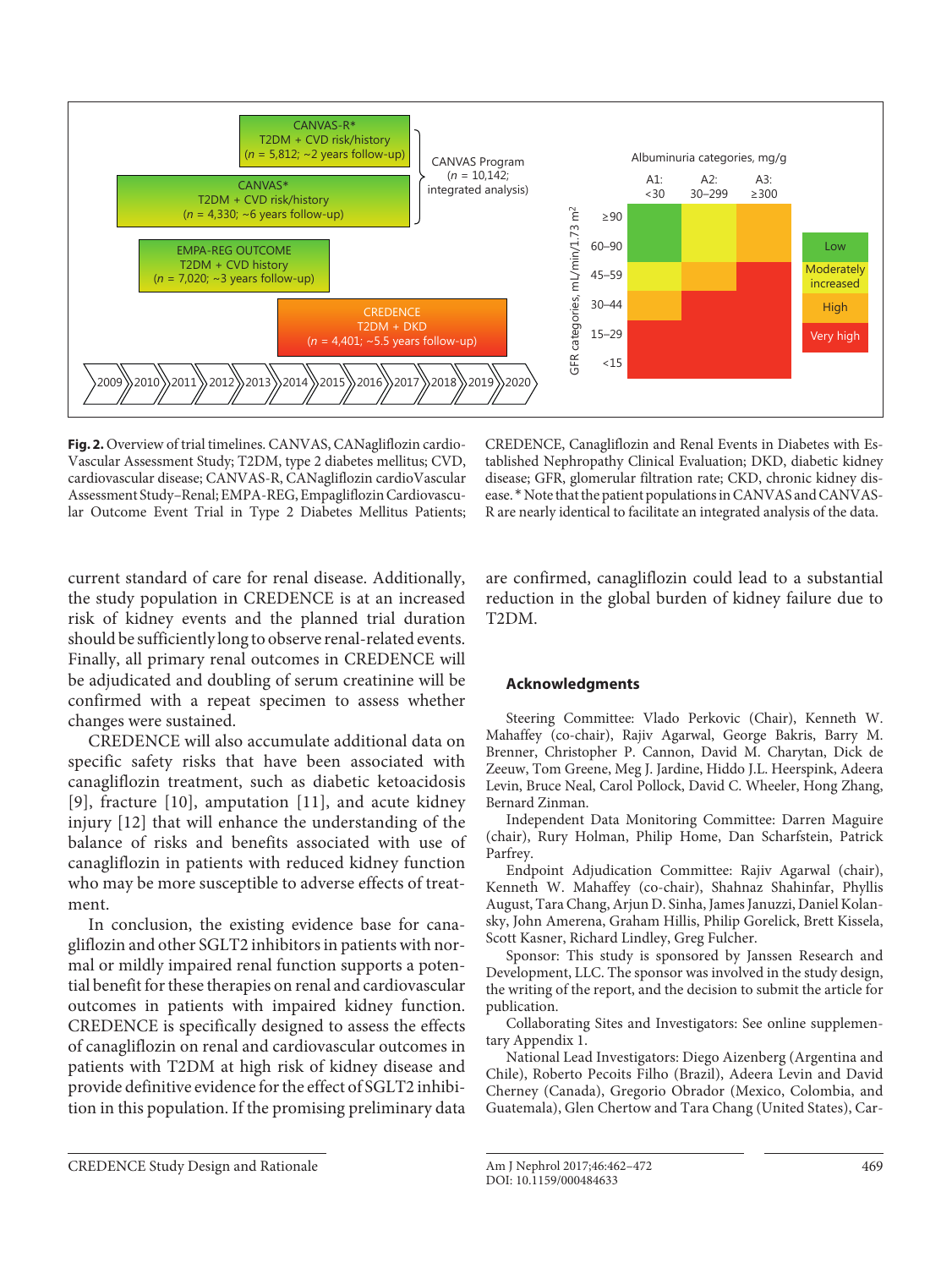

**Fig. 2.** Overview of trial timelines. CANVAS, CANagliflozin cardio-Vascular Assessment Study; T2DM, type 2 diabetes mellitus; CVD, cardiovascular disease; CANVAS-R, CANagliflozin cardioVascular Assessment Study–Renal; EMPA-REG, Empagliflozin Cardiovascular Outcome Event Trial in Type 2 Diabetes Mellitus Patients;

CREDENCE, Canagliflozin and Renal Events in Diabetes with Established Nephropathy Clinical Evaluation; DKD, diabetic kidney disease; GFR, glomerular filtration rate; CKD, chronic kidney disease. \*Note that the patient populations in CANVAS and CANVAS-R are nearly identical to facilitate an integrated analysis of the data.

current standard of care for renal disease. Additionally, the study population in CREDENCE is at an increased risk of kidney events and the planned trial duration should be sufficiently long to observe renal-related events. Finally, all primary renal outcomes in CREDENCE will be adjudicated and doubling of serum creatinine will be confirmed with a repeat specimen to assess whether changes were sustained.

CREDENCE will also accumulate additional data on specific safety risks that have been associated with canagliflozin treatment, such as diabetic ketoacidosis [9], fracture [10], amputation [11], and acute kidney injury [12] that will enhance the understanding of the balance of risks and benefits associated with use of canagliflozin in patients with reduced kidney function who may be more susceptible to adverse effects of treatment.

In conclusion, the existing evidence base for canagliflozin and other SGLT2 inhibitors in patients with normal or mildly impaired renal function supports a potential benefit for these therapies on renal and cardiovascular outcomes in patients with impaired kidney function. CREDENCE is specifically designed to assess the effects of canagliflozin on renal and cardiovascular outcomes in patients with T2DM at high risk of kidney disease and provide definitive evidence for the effect of SGLT2 inhibition in this population. If the promising preliminary data

are confirmed, canagliflozin could lead to a substantial reduction in the global burden of kidney failure due to T2DM.

# **Acknowledgments**

Steering Committee: Vlado Perkovic (Chair), Kenneth W. Mahaffey (co-chair), Rajiv Agarwal, George Bakris, Barry M. Brenner, Christopher P. Cannon, David M. Charytan, Dick de Zeeuw, Tom Greene, Meg J. Jardine, Hiddo J.L. Heerspink, Adeera Levin, Bruce Neal, Carol Pollock, David C. Wheeler, Hong Zhang, Bernard Zinman.

Independent Data Monitoring Committee: Darren Maguire (chair), Rury Holman, Philip Home, Dan Scharfstein, Patrick Parfrey.

Endpoint Adjudication Committee: Rajiv Agarwal (chair), Kenneth W. Mahaffey (co-chair), Shahnaz Shahinfar, Phyllis August, Tara Chang, Arjun D. Sinha, James Januzzi, Daniel Kolansky, John Amerena, Graham Hillis, Philip Gorelick, Brett Kissela, Scott Kasner, Richard Lindley, Greg Fulcher.

Sponsor: This study is sponsored by Janssen Research and Development, LLC. The sponsor was involved in the study design, the writing of the report, and the decision to submit the article for publication.

Collaborating Sites and Investigators: See online supplementary Appendix 1.

National Lead Investigators: Diego Aizenberg (Argentina and Chile), Roberto Pecoits Filho (Brazil), Adeera Levin and David Cherney (Canada), Gregorio Obrador (Mexico, Colombia, and Guatemala), Glen Chertow and Tara Chang (United States), Car-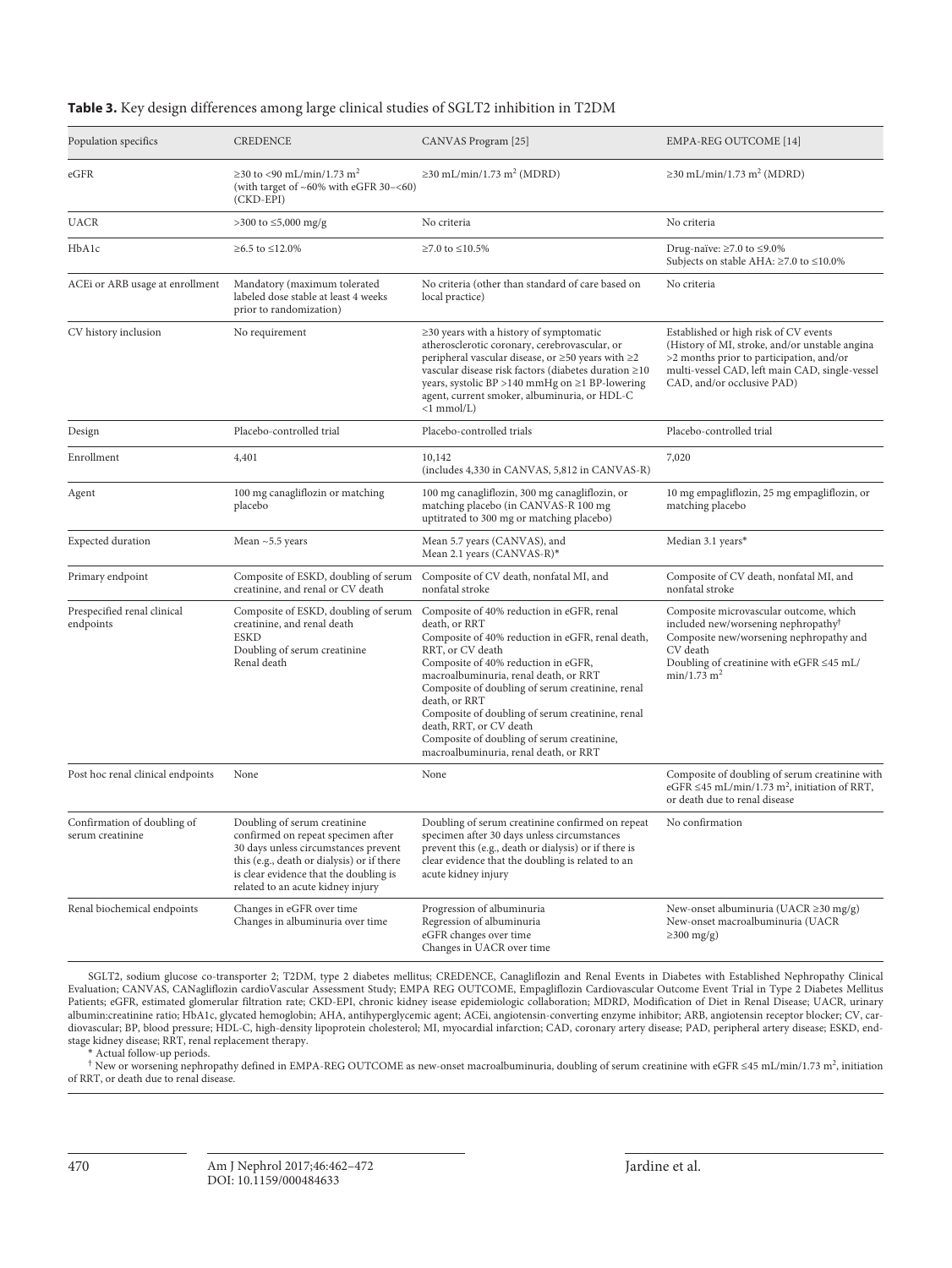| Population specifics                            | <b>CREDENCE</b>                                                                                                                                                                                                                         | CANVAS Program [25]                                                                                                                                                                                                                                                                                                                                                                                                                                           | EMPA-REG OUTCOME [14]                                                                                                                                                                                                           |
|-------------------------------------------------|-----------------------------------------------------------------------------------------------------------------------------------------------------------------------------------------------------------------------------------------|---------------------------------------------------------------------------------------------------------------------------------------------------------------------------------------------------------------------------------------------------------------------------------------------------------------------------------------------------------------------------------------------------------------------------------------------------------------|---------------------------------------------------------------------------------------------------------------------------------------------------------------------------------------------------------------------------------|
| eGFR                                            | ≥30 to <90 mL/min/1.73 m <sup>2</sup><br>(with target of $~60\%$ with eGFR 30- $~60$ )<br>(CKD-EPI)                                                                                                                                     | $\geq$ 30 mL/min/1.73 m <sup>2</sup> (MDRD)                                                                                                                                                                                                                                                                                                                                                                                                                   | $\geq$ 30 mL/min/1.73 m <sup>2</sup> (MDRD)                                                                                                                                                                                     |
| <b>UACR</b>                                     | >300 to ≤5,000 mg/g                                                                                                                                                                                                                     | No criteria                                                                                                                                                                                                                                                                                                                                                                                                                                                   | No criteria                                                                                                                                                                                                                     |
| HbA1c                                           | $≥6.5$ to ≤12.0%                                                                                                                                                                                                                        | $≥7.0$ to ≤10.5%                                                                                                                                                                                                                                                                                                                                                                                                                                              | Drug-naïve: $\geq 7.0$ to $\leq 9.0\%$<br>Subjects on stable AHA: $\geq$ 7.0 to $\leq$ 10.0%                                                                                                                                    |
| ACEi or ARB usage at enrollment                 | Mandatory (maximum tolerated<br>labeled dose stable at least 4 weeks<br>prior to randomization)                                                                                                                                         | No criteria (other than standard of care based on<br>local practice)                                                                                                                                                                                                                                                                                                                                                                                          | No criteria                                                                                                                                                                                                                     |
| CV history inclusion                            | No requirement                                                                                                                                                                                                                          | $\geq$ 30 years with a history of symptomatic<br>atherosclerotic coronary, cerebrovascular, or<br>peripheral vascular disease, or $\geq$ 50 years with $\geq$ 2<br>vascular disease risk factors (diabetes duration ≥10<br>years, systolic BP > 140 mmHg on $\geq$ 1 BP-lowering<br>agent, current smoker, albuminuria, or HDL-C<br>$<1$ mmol/L)                                                                                                              | Established or high risk of CV events<br>(History of MI, stroke, and/or unstable angina<br>>2 months prior to participation, and/or<br>multi-vessel CAD, left main CAD, single-vessel<br>CAD, and/or occlusive PAD)             |
| Design                                          | Placebo-controlled trial                                                                                                                                                                                                                | Placebo-controlled trials                                                                                                                                                                                                                                                                                                                                                                                                                                     | Placebo-controlled trial                                                                                                                                                                                                        |
| Enrollment                                      | 4,401                                                                                                                                                                                                                                   | 10,142<br>(includes 4,330 in CANVAS, 5,812 in CANVAS-R)                                                                                                                                                                                                                                                                                                                                                                                                       | 7,020                                                                                                                                                                                                                           |
| Agent                                           | 100 mg canagliflozin or matching<br>placebo                                                                                                                                                                                             | 100 mg canagliflozin, 300 mg canagliflozin, or<br>matching placebo (in CANVAS-R 100 mg<br>uptitrated to 300 mg or matching placebo)                                                                                                                                                                                                                                                                                                                           | 10 mg empagliflozin, 25 mg empagliflozin, or<br>matching placebo                                                                                                                                                                |
| Expected duration                               | Mean $\sim$ 5.5 years                                                                                                                                                                                                                   | Mean 5.7 years (CANVAS), and<br>Mean 2.1 years (CANVAS-R)*                                                                                                                                                                                                                                                                                                                                                                                                    | Median 3.1 years*                                                                                                                                                                                                               |
| Primary endpoint                                | Composite of ESKD, doubling of serum<br>creatinine, and renal or CV death                                                                                                                                                               | Composite of CV death, nonfatal MI, and<br>nonfatal stroke                                                                                                                                                                                                                                                                                                                                                                                                    | Composite of CV death, nonfatal MI, and<br>nonfatal stroke                                                                                                                                                                      |
| Prespecified renal clinical<br>endpoints        | Composite of ESKD, doubling of serum<br>creatinine, and renal death<br><b>ESKD</b><br>Doubling of serum creatinine<br>Renal death                                                                                                       | Composite of 40% reduction in eGFR, renal<br>death, or RRT<br>Composite of 40% reduction in eGFR, renal death,<br>RRT, or CV death<br>Composite of 40% reduction in eGFR,<br>macroalbuminuria, renal death, or RRT<br>Composite of doubling of serum creatinine, renal<br>death, or RRT<br>Composite of doubling of serum creatinine, renal<br>death, RRT, or CV death<br>Composite of doubling of serum creatinine,<br>macroalbuminuria, renal death, or RRT | Composite microvascular outcome, which<br>included new/worsening nephropathy <sup>†</sup><br>Composite new/worsening nephropathy and<br>CV death<br>Doubling of creatinine with eGFR $\leq$ 45 mL/<br>$min/1.73$ m <sup>2</sup> |
| Post hoc renal clinical endpoints               | None                                                                                                                                                                                                                                    | None                                                                                                                                                                                                                                                                                                                                                                                                                                                          | Composite of doubling of serum creatinine with<br>eGFR $\leq$ 45 mL/min/1.73 m <sup>2</sup> , initiation of RRT,<br>or death due to renal disease                                                                               |
| Confirmation of doubling of<br>serum creatinine | Doubling of serum creatinine<br>confirmed on repeat specimen after<br>30 days unless circumstances prevent<br>this (e.g., death or dialysis) or if there<br>is clear evidence that the doubling is<br>related to an acute kidney injury | Doubling of serum creatinine confirmed on repeat<br>specimen after 30 days unless circumstances<br>prevent this (e.g., death or dialysis) or if there is<br>clear evidence that the doubling is related to an<br>acute kidney injury                                                                                                                                                                                                                          | No confirmation                                                                                                                                                                                                                 |
| Renal biochemical endpoints                     | Changes in eGFR over time<br>Changes in albuminuria over time                                                                                                                                                                           | Progression of albuminuria<br>Regression of albuminuria<br>eGFR changes over time<br>Changes in UACR over time                                                                                                                                                                                                                                                                                                                                                | New-onset albuminuria (UACR $\geq$ 30 mg/g)<br>New-onset macroalbuminuria (UACR<br>$\geq$ 300 mg/g)                                                                                                                             |

# **Table 3.** Key design differences among large clinical studies of SGLT2 inhibition in T2DM

SGLT2, sodium glucose co-transporter 2; T2DM, type 2 diabetes mellitus; CREDENCE, Canagliflozin and Renal Events in Diabetes with Established Nephropathy Clinical Evaluation; CANVAS, CANagliflozin cardioVascular Assessment Study; EMPA REG OUTCOME, Empagliflozin Cardiovascular Outcome Event Trial in Type 2 Diabetes Mellitus Patients; eGFR, estimated glomerular filtration rate; CKD-EPI, chronic kidney isease epidemiologic collaboration; MDRD, Modification of Diet in Renal Disease; UACR, urinary albumin:creatinine ratio; HbA1c, glycated hemoglobin; AHA, antihyperglycemic agent; ACEi, angiotensin-converting enzyme inhibitor; ARB, angiotensin receptor blocker; CV, cardiovascular; BP, blood pressure; HDL-C, high-density lipoprotein cholesterol; MI, myocardial infarction; CAD, coronary artery disease; PAD, peripheral artery disease; ESKD, endstage kidney disease; RRT, renal replacement therapy.

\* Actual follow-up periods.<br>† New or worsening nephropathy defined in EMPA-REG OUTCOME as new-onset macroalbuminuria, doubling of serum creatinine with eGFR ≤45 mL/min/1.73 m<sup>2</sup>, initiation<br>of RRT, or death due to renal d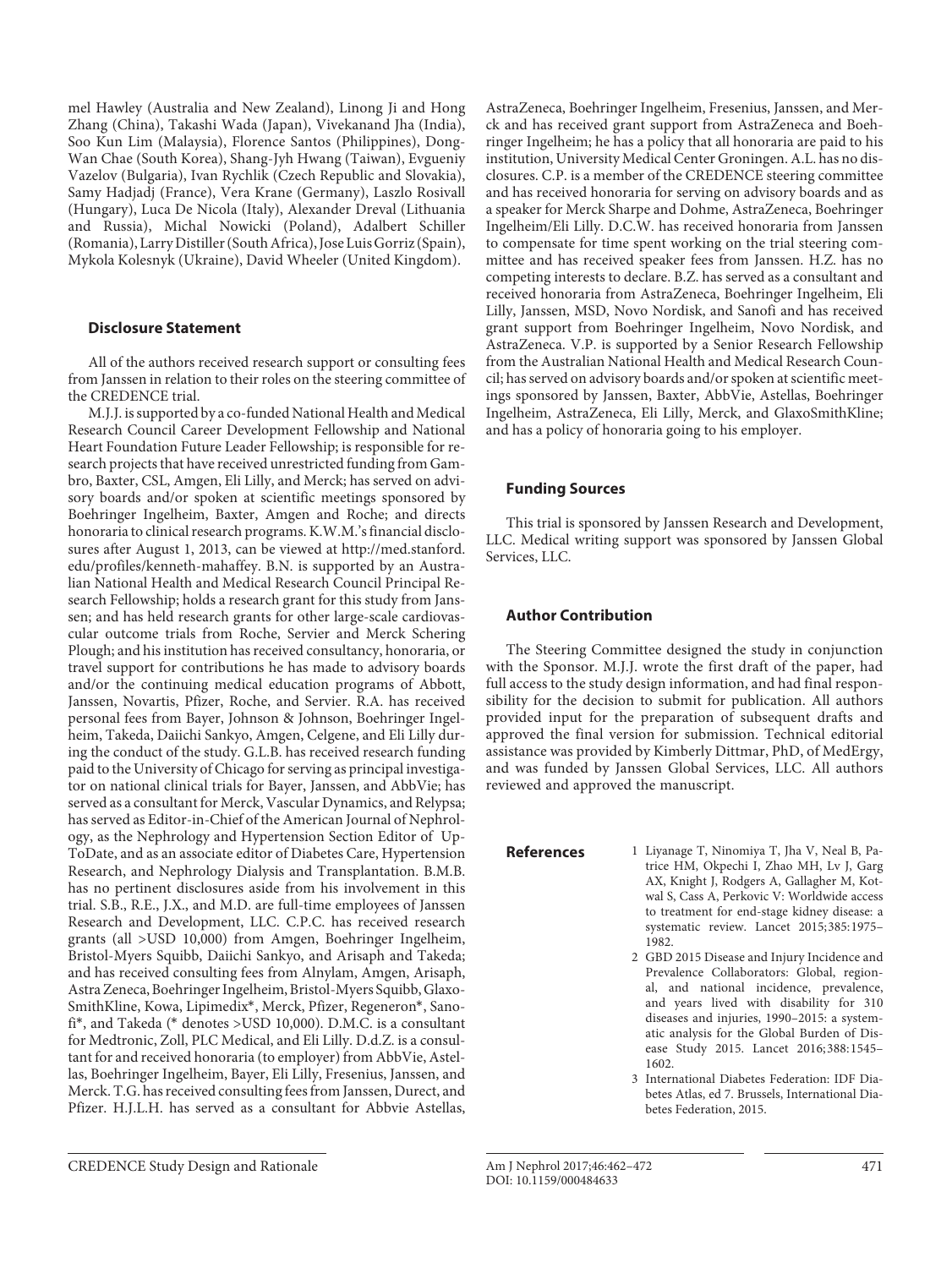mel Hawley (Australia and New Zealand), Linong Ji and Hong Zhang (China), Takashi Wada (Japan), Vivekanand Jha (India), Soo Kun Lim (Malaysia), Florence Santos (Philippines), Dong-Wan Chae (South Korea), Shang-Jyh Hwang (Taiwan), Evgueniy Vazelov (Bulgaria), Ivan Rychlik (Czech Republic and Slovakia), Samy Hadjadj (France), Vera Krane (Germany), Laszlo Rosivall (Hungary), Luca De Nicola (Italy), Alexander Dreval (Lithuania and Russia), Michal Nowicki (Poland), Adalbert Schiller (Romania), Larry Distiller (South Africa), Jose Luis Gorriz (Spain), Mykola Kolesnyk (Ukraine), David Wheeler (United Kingdom).

## **Disclosure Statement**

All of the authors received research support or consulting fees from Janssen in relation to their roles on the steering committee of the CREDENCE trial.

M.J.J. is supported by a co-funded National Health and Medical Research Council Career Development Fellowship and National Heart Foundation Future Leader Fellowship; is responsible for research projects that have received unrestricted funding from Gambro, Baxter, CSL, Amgen, Eli Lilly, and Merck; has served on advisory boards and/or spoken at scientific meetings sponsored by Boehringer Ingelheim, Baxter, Amgen and Roche; and directs honoraria to clinical research programs. K.W.M.'s financial disclosures after August 1, 2013, can be viewed at http://med.stanford. edu/profiles/kenneth-mahaffey. B.N. is supported by an Australian National Health and Medical Research Council Principal Research Fellowship; holds a research grant for this study from Janssen; and has held research grants for other large-scale cardiovascular outcome trials from Roche, Servier and Merck Schering Plough; and his institution has received consultancy, honoraria, or travel support for contributions he has made to advisory boards and/or the continuing medical education programs of Abbott, Janssen, Novartis, Pfizer, Roche, and Servier. R.A. has received personal fees from Bayer, Johnson & Johnson, Boehringer Ingelheim, Takeda, Daiichi Sankyo, Amgen, Celgene, and Eli Lilly during the conduct of the study. G.L.B. has received research funding paid to the University of Chicago for serving as principal investigator on national clinical trials for Bayer, Janssen, and AbbVie; has served as a consultant for Merck, Vascular Dynamics, and Relypsa; has served as Editor-in-Chief of the American Journal of Nephrology, as the Nephrology and Hypertension Section Editor of Up-ToDate, and as an associate editor of Diabetes Care, Hypertension Research, and Nephrology Dialysis and Transplantation. B.M.B. has no pertinent disclosures aside from his involvement in this trial. S.B., R.E., J.X., and M.D. are full-time employees of Janssen Research and Development, LLC. C.P.C. has received research grants (all >USD 10,000) from Amgen, Boehringer Ingelheim, Bristol-Myers Squibb, Daiichi Sankyo, and Arisaph and Takeda; and has received consulting fees from Alnylam, Amgen, Arisaph, Astra Zeneca, Boehringer Ingelheim, Bristol-Myers Squibb, Glaxo-SmithKline, Kowa, Lipimedix\*, Merck, Pfizer, Regeneron\*, Sanofi\*, and Takeda (\* denotes >USD 10,000). D.M.C. is a consultant for Medtronic, Zoll, PLC Medical, and Eli Lilly. D.d.Z. is a consultant for and received honoraria (to employer) from AbbVie, Astellas, Boehringer Ingelheim, Bayer, Eli Lilly, Fresenius, Janssen, and Merck. T.G. has received consulting fees from Janssen, Durect, and Pfizer. H.J.L.H. has served as a consultant for Abbvie Astellas,

AstraZeneca, Boehringer Ingelheim, Fresenius, Janssen, and Merck and has received grant support from AstraZeneca and Boehringer Ingelheim; he has a policy that all honoraria are paid to his institution, University Medical Center Groningen. A.L. has no disclosures. C.P. is a member of the CREDENCE steering committee and has received honoraria for serving on advisory boards and as a speaker for Merck Sharpe and Dohme, AstraZeneca, Boehringer Ingelheim/Eli Lilly. D.C.W. has received honoraria from Janssen to compensate for time spent working on the trial steering committee and has received speaker fees from Janssen. H.Z. has no competing interests to declare. B.Z. has served as a consultant and received honoraria from AstraZeneca, Boehringer Ingelheim, Eli Lilly, Janssen, MSD, Novo Nordisk, and Sanofi and has received grant support from Boehringer Ingelheim, Novo Nordisk, and AstraZeneca. V.P. is supported by a Senior Research Fellowship from the Australian National Health and Medical Research Council; has served on advisory boards and/or spoken at scientific meetings sponsored by Janssen, Baxter, AbbVie, Astellas, Boehringer Ingelheim, AstraZeneca, Eli Lilly, Merck, and GlaxoSmithKline; and has a policy of honoraria going to his employer.

## **Funding Sources**

This trial is sponsored by Janssen Research and Development, LLC. Medical writing support was sponsored by Janssen Global Services, LLC.

# **Author Contribution**

The Steering Committee designed the study in conjunction with the Sponsor. M.J.J. wrote the first draft of the paper, had full access to the study design information, and had final responsibility for the decision to submit for publication. All authors provided input for the preparation of subsequent drafts and approved the final version for submission. Technical editorial assistance was provided by Kimberly Dittmar, PhD, of MedErgy, and was funded by Janssen Global Services, LLC. All authors reviewed and approved the manuscript.

**References** 1 Liyanage T, Ninomiya T, Jha V, Neal B, Patrice HM, Okpechi I, Zhao MH, Lv J, Garg AX, Knight J, Rodgers A, Gallagher M, Kotwal S, Cass A, Perkovic V: Worldwide access to treatment for end-stage kidney disease: a systematic review. Lancet 2015;385:1975– 1982.

- 2 GBD 2015 Disease and Injury Incidence and Prevalence Collaborators: Global, regional, and national incidence, prevalence, and years lived with disability for 310 diseases and injuries, 1990–2015: a systematic analysis for the Global Burden of Disease Study 2015. Lancet 2016;388:1545– 1602.
- 3 International Diabetes Federation: IDF Diabetes Atlas, ed 7. Brussels, International Diabetes Federation, 2015.